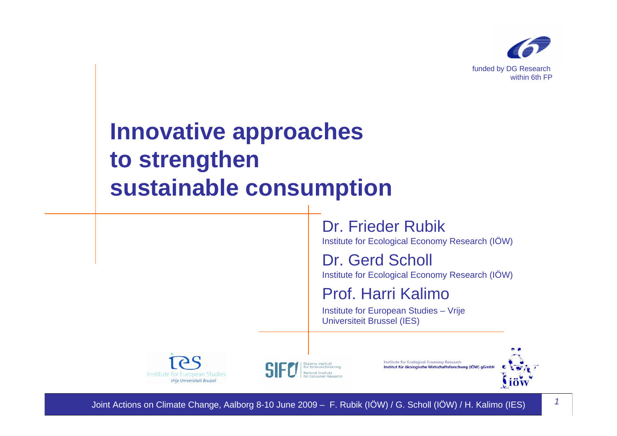

# **Innovative approaches to strengthen sustainable consumption**

Dr. Frieder Rubik Institute for Ecological Economy Research (IÖW)

Dr. Gerd Scholl Institute for Ecological Economy Research (IÖW)

Prof. Harri Kalimo

Institute for European Studies – Vrije Universiteit Brussel (IES)



atens institut<mark>t</mark><br>• forbruksforsknir

Institute for Ecological Economy Research Institut für ökologische Wirtschaftsforschung (IÖW) gGmbł



Joint Actions on Climate Change, Aalborg 8-10 June 2009 – F. Rubik (IÖW) / G. Scholl (IÖW) / H. Kalimo (IES) *<sup>1</sup>*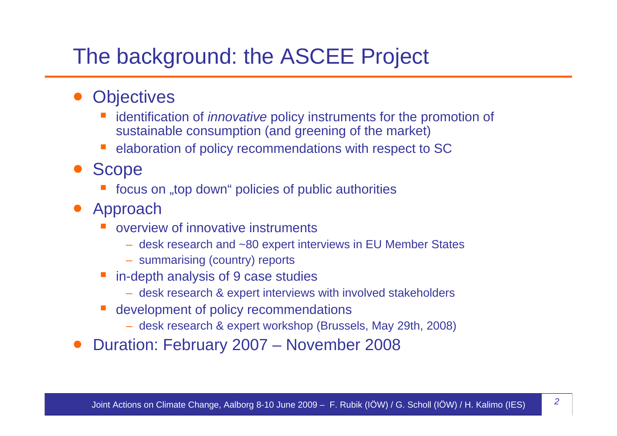### The background: the ASCEE Project

- $\bullet$ **Objectives** 
	- identification of *innovative* policy instruments for the promotion of sustainable consumption (and greening of the market)
	- elaboration of policy recommendations with respect to SC
- $\bullet$  Scope
	- focus on "top down" policies of public authorities
- Approach
	- T. overview of innovative instruments
		- desk research and ~80 expert interviews in EU Member States
		- summarising (country) reports
	- in-depth analysis of 9 case studies
		- desk research & expert interviews with involved stakeholders
	- development of policy recommendations
		- desk research & expert workshop (Brussels, May 29th, 2008)
- $\bullet$ Duration: February 2007 – November 2008

*2*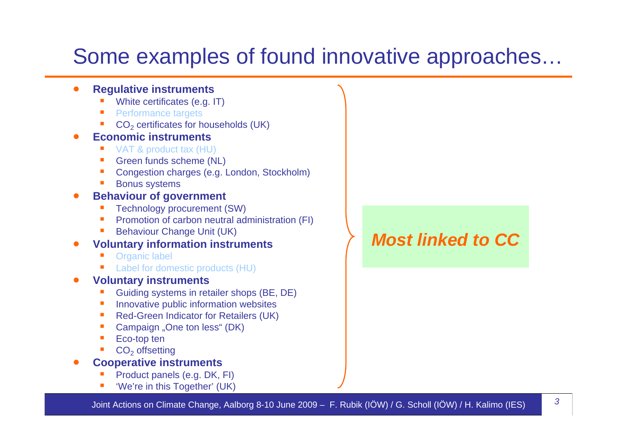## Some examples of found innovative approaches…

#### $\bullet$ **Regulative instruments**

- ш White certificates (e.g. IT)
- ш Performance targets
- ш CO<sub>2</sub> certificates for households (UK)
- 0 **Economic instruments**
	- ш VAT & product tax (HU)
	- ш Green funds scheme (NL)
	- ш Congestion charges (e.g. London, Stockholm)
	- ш Bonus systems
- 0 **Behaviour of government**
	- ш Technology procurement (SW)
	- ш Promotion of carbon neutral administration (FI)
	- ш Behaviour Change Unit (UK)

#### 0 **Voluntary information instruments**

- ш Organic label
- ш Label for domestic products (HU)

#### 0 **Voluntary instruments**

- ш Guiding systems in retailer shops (BE, DE)
- $\mathcal{L}_{\mathcal{A}}$ Innovative public information websites
- $\mathcal{C}$ Red-Green Indicator for Retailers (UK)
- ш Campaign "One ton less" (DK)
- ш Eco-top ten
- ш  $CO<sub>2</sub>$  offsetting
- 0 **Cooperative instruments**
	- ш Product panels (e.g. DK, FI)
	- ш 'We're in this Together' (UK)

### *Most linked to CC*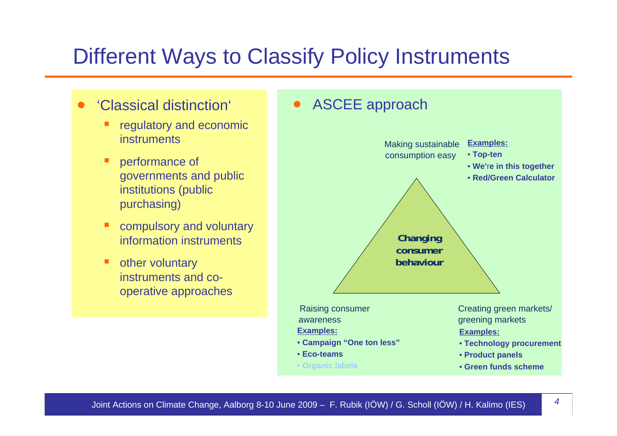### Different Ways to Classify Policy Instruments

- $\bullet$  'Classical distinction'
	- Ξ regulatory and economic instruments
	- п performance of governments and public institutions (public purchasing)
	- п compulsory and voluntary information instruments
	- п other voluntary instruments and cooperative approaches

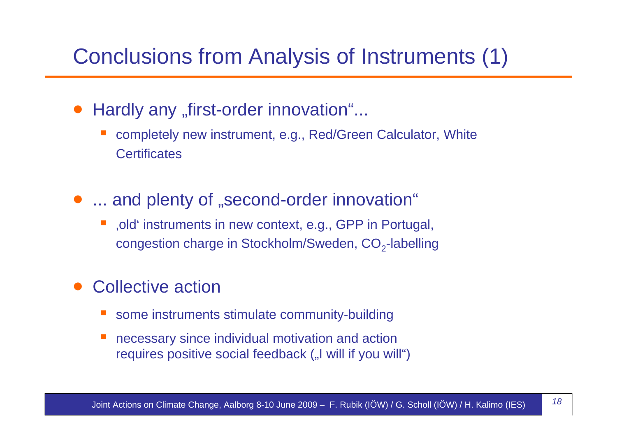### Conclusions from Analysis of Instruments (1)

### $\bullet$ Hardly any "first-order innovation"...

- completely new instrument, e.g., Red/Green Calculator, White **Certificates**
- ... and plenty of "second-order innovation"
	- **STATE**  'old' instruments in new context, e.g., GPP in Portugal, congestion charge in Stockholm/Sweden,  $CO<sub>2</sub>$ -labelling

### $\bullet$ Collective action

- T. some instruments stimulate community-building
- necessary since individual motivation and action requires positive social feedback ("I will if you will")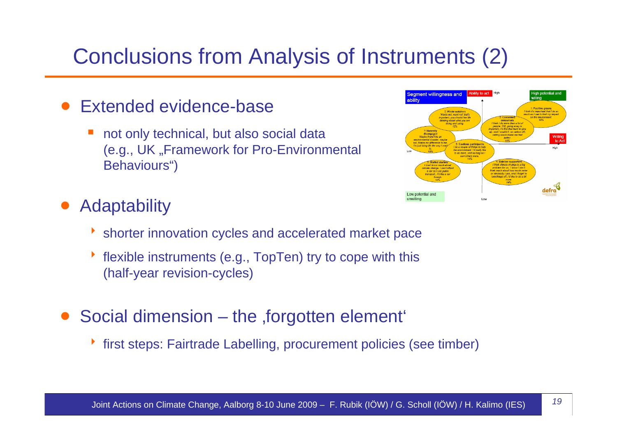# Conclusions from Analysis of Instruments (2)

- $\bullet$  Extended evidence-base
	- $\overline{\mathbb{R}}$  not only technical, but also social data (e.g., UK, Framework for Pro-Environmental Behaviours")

### Ability to act High Seament willingness and  $\mathbf{d}$ efra Low potential and unwilling

### $\bullet$ **Adaptability**

- ▶ shorter innovation cycles and accelerated market pace
- ▶ flexible instruments (e.g., TopTen) try to cope with this (half-year revision-cycles)
- $\bullet$ Social dimension – the forgotten element
	- **first steps: Fairtrade Labelling, procurement policies (see timber)**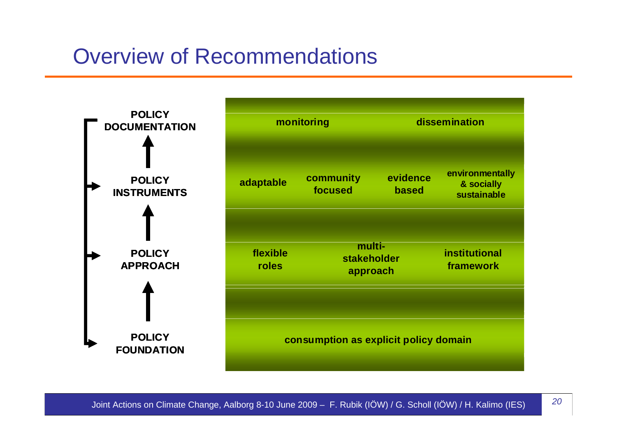### Overview of Recommendations

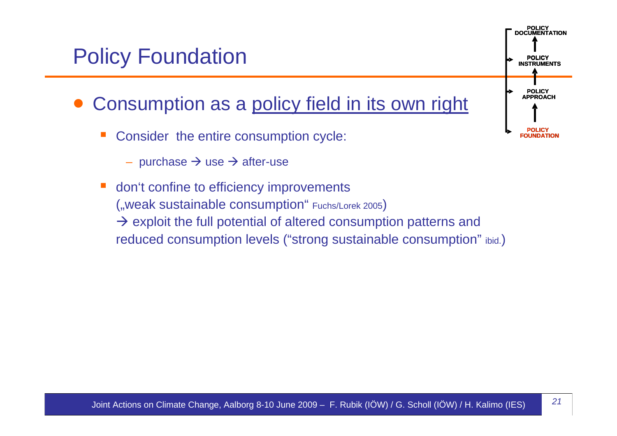### Policy Foundation

- $\bullet$  Consumption as a policy field in its own right
	- Consider the entire consumption cycle:
		- purchase  $\rightarrow$  use  $\rightarrow$  after-use
	- don't confine to efficiency improvements ("weak sustainable consumption" Fuchs/Lorek 2005)  $\rightarrow$  exploit the full potential of altered consumption patterns and reduced consumption levels ("strong sustainable consumption" ibid.)

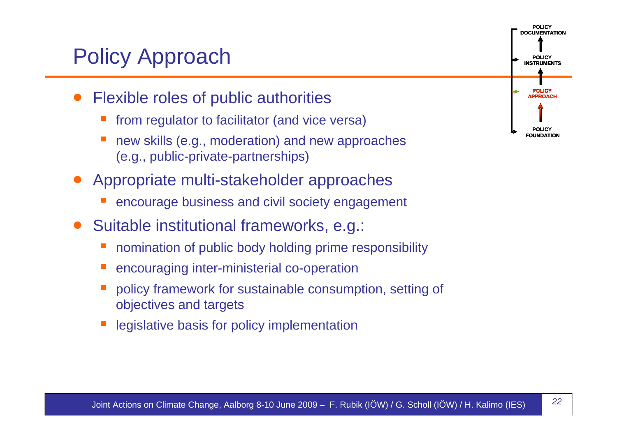## Policy Approach

- $\bullet$  Flexible roles of public authorities
	- from regulator to facilitator (and vice versa)
	- new skills (e.g., moderation) and new approaches (e.g., public-private-partnerships)
- $\bullet$  Appropriate multi-stakeholder approaches
	- encourage business and civil society engagement
- $\bullet$  Suitable institutional frameworks, e.g.:
	- nomination of public body holding prime responsibility
	- encouraging inter-ministerial co-operation
	- policy framework for sustainable consumption, setting of objectives and targets
	- legislative basis for policy implementation

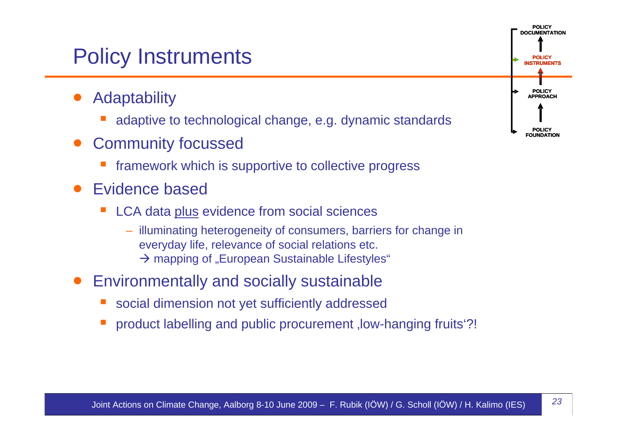### Policy Instruments

- $\bullet$ **Adaptability** 
	- adaptive to technological change, e.g. dynamic standards
- $\bullet$  Community focussed
	- framework which is supportive to collective progress
- $\bullet$  Evidence based
	- $\mathcal{L}^{\text{max}}_{\text{max}}$  LCA data plus evidence from social sciences
		- illuminating heterogeneity of consumers, barriers for change in everyday life, relevance of social relations etc.  $\rightarrow$  mapping of "European Sustainable Lifestyles"
- $\bullet$  Environmentally and socially sustainable
	- social dimension not yet sufficiently addressed
	- product labelling and public procurement , low-hanging fruits<sup>'?!</sup>

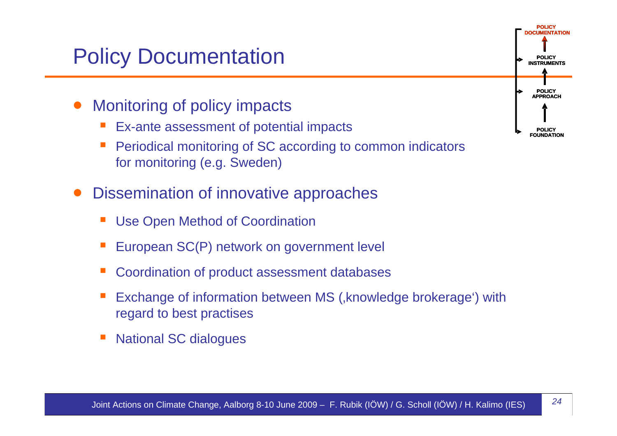## Policy Documentation

- $\bullet$  Monitoring of policy impacts
	- T. Ex-ante assessment of potential impacts
	- T. Periodical monitoring of SC according to common indicators for monitoring (e.g. Sweden)
- $\bullet$  Dissemination of innovative approaches
	- T. Use Open Method of Coordination
	- $\mathcal{L}^{\text{max}}_{\text{max}}$ European SC(P) network on government level
	- T. Coordination of product assessment databases
	- T. Exchange of information between MS (, knowledge brokerage') with regard to best practises
	- T. National SC dialogues